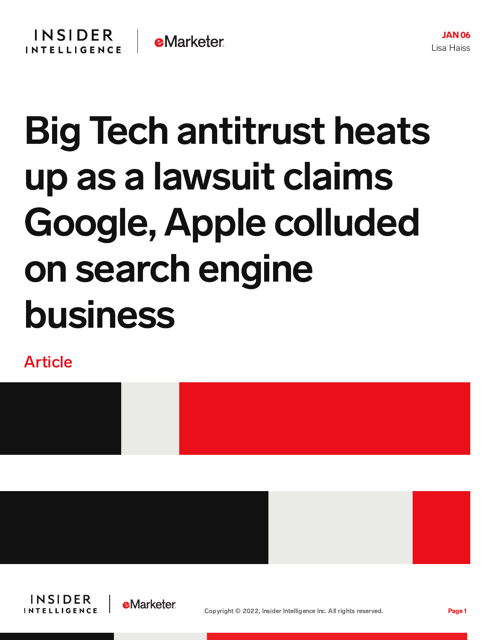## Big Tech antitrust heats up as a lawsuit claims Google, Apple colluded on search engine business

Article









JAN 06 Lisa Haiss